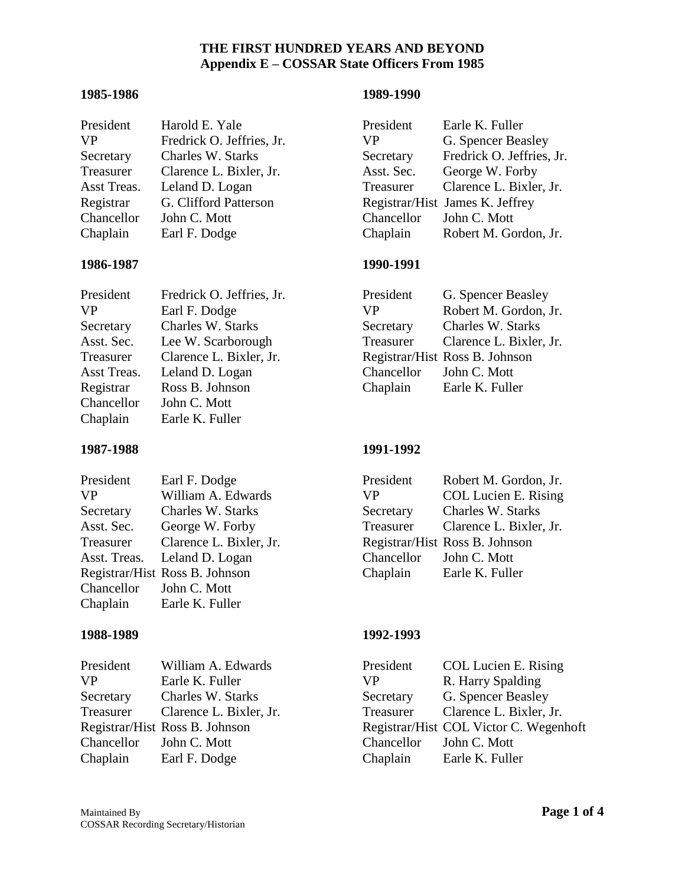## **1985-1986 1989-1990**

| President   | Harold E. Yale            | President  | Earle K. Fuller                 |
|-------------|---------------------------|------------|---------------------------------|
| VP          | Fredrick O. Jeffries, Jr. | VP         | G. Spencer Beasley              |
| Secretary   | Charles W. Starks         | Secretary  | Fredrick O. Jeffries, Jr.       |
| Treasurer   | Clarence L. Bixler, Jr.   | Asst. Sec. | George W. Forby                 |
| Asst Treas. | Leland D. Logan           | Treasurer  | Clarence L. Bixler, Jr.         |
| Registrar   | G. Clifford Patterson     |            | Registrar/Hist James K. Jeffrey |
| Chancellor  | John C. Mott              | Chancellor | John C. Mott                    |
| Chaplain    | Earl F. Dodge             | Chaplain   | Robert M. Gordon, Jr.           |

### **1986-1987 1990-1991**

| President   | Fredrick O. Jeffries, Jr. | President  | G. Spencer Beasley             |
|-------------|---------------------------|------------|--------------------------------|
| <b>VP</b>   | Earl F. Dodge             | VP.        | Robert M. Gordon, Jr.          |
| Secretary   | Charles W. Starks         | Secretary  | Charles W. Starks              |
| Asst. Sec.  | Lee W. Scarborough        | Treasurer  | Clarence L. Bixler, Jr.        |
| Treasurer   | Clarence L. Bixler, Jr.   |            | Registrar/Hist Ross B. Johnson |
| Asst Treas. | Leland D. Logan           | Chancellor | John C. Mott                   |
| Registrar   | Ross B. Johnson           | Chaplain   | Earle K. Fuller                |
| Chancellor  | John C. Mott              |            |                                |
| Chaplain    | Earle K. Fuller           |            |                                |
|             |                           |            |                                |

## **1987-1988 1991-1992**

| President  | Earle K. Fuller                 |
|------------|---------------------------------|
| <b>VP</b>  | G. Spencer Beasley              |
| Secretary  | Fredrick O. Jeffries, Jr.       |
| Asst. Sec. | George W. Forby                 |
| Treasurer  | Clarence L. Bixler, Jr.         |
|            | Registrar/Hist James K. Jeffrey |
| Chancellor | John C. Mott                    |
| Chaplain   | Robert M. Gordon, Jr.           |

| G. Spencer Beasley             |
|--------------------------------|
| Robert M. Gordon, Jr.          |
| <b>Charles W. Starks</b>       |
| Clarence L. Bixler, Jr.        |
| Registrar/Hist Ross B. Johnson |
| John C. Mott                   |
| Earle K. Fuller                |
|                                |

| President               | Earl F. Dodge                  | President               | Robert M. Gordon, Jr.          |
|-------------------------|--------------------------------|-------------------------|--------------------------------|
| VP                      | William A. Edwards             | VP.                     | <b>COL Lucien E. Rising</b>    |
| Secretary               | Charles W. Starks              | Secretary               | Charles W. Starks              |
| Asst. Sec.              | George W. Forby                | Treasurer               | Clarence L. Bixler, Jr.        |
| Treasurer               | Clarence L. Bixler, Jr.        |                         | Registrar/Hist Ross B. Johnson |
|                         | Asst. Treas. Leland D. Logan   | Chancellor John C. Mott |                                |
|                         | Registrar/Hist Ross B. Johnson | Chaplain                | Earle K. Fuller                |
| Chancellor John C. Mott |                                |                         |                                |
| Chaplain                | Earle K. Fuller                |                         |                                |

## **1988-1989 1992-1993**

| President               | William A. Edwards             | President  | <b>COL Lucien E. Rising</b>        |
|-------------------------|--------------------------------|------------|------------------------------------|
| <b>VP</b>               | Earle K. Fuller                | VP.        | R. Harry Spalding                  |
| Secretary               | Charles W. Starks              | Secretary  | G. Spencer Beasley                 |
| Treasurer               | Clarence L. Bixler, Jr.        | Treasurer  | Clarence L. Bixler, Jr.            |
|                         | Registrar/Hist Ross B. Johnson |            | Registrar/Hist COL Victor C. Wegen |
| Chancellor John C. Mott |                                | Chancellor | John C. Mott                       |
| Chaplain                | Earl F. Dodge                  | Chaplain   | Earle K. Fuller                    |

| President | William A. Edwards             | President               | COL Lucien E. Rising                   |
|-----------|--------------------------------|-------------------------|----------------------------------------|
| <b>VP</b> | Earle K. Fuller                | <b>VP</b>               | R. Harry Spalding                      |
| Secretary | <b>Charles W. Starks</b>       | Secretary               | G. Spencer Beasley                     |
| Treasurer | Clarence L. Bixler, Jr.        | Treasurer               | Clarence L. Bixler, Jr.                |
|           | Registrar/Hist Ross B. Johnson |                         | Registrar/Hist COL Victor C. Wegenhoft |
|           | Chancellor John C. Mott        | Chancellor John C. Mott |                                        |
| Chaplain  | Earl F. Dodge                  | Chaplain                | Earle K. Fuller                        |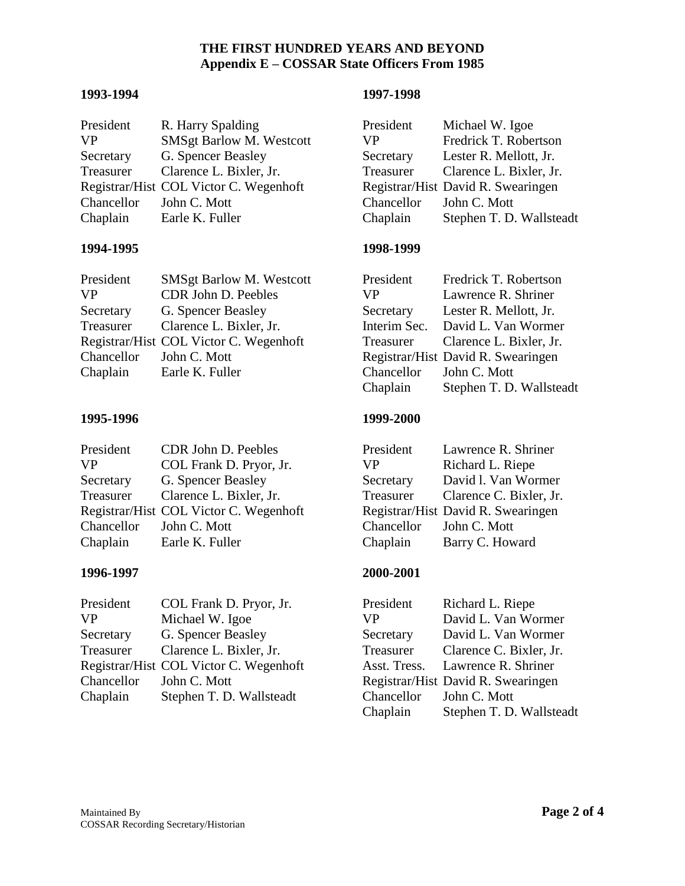## **1993-1994 1997-1998**

| President  | R. Harry Spalding                      | President  | Michael W. Igoe                    |
|------------|----------------------------------------|------------|------------------------------------|
| <b>VP</b>  | <b>SMSgt Barlow M. Westcott</b>        | VР         | Fredrick T. Robertson              |
| Secretary  | G. Spencer Beasley                     | Secretary  | Lester R. Mellott, Jr.             |
| Treasurer  | Clarence L. Bixler, Jr.                | Treasurer  | Clarence L. Bixler, Jr.            |
|            | Registrar/Hist COL Victor C. Wegenhoft |            | Registrar/Hist David R. Swearingen |
| Chancellor | John C. Mott                           | Chancellor | John C. Mott                       |
| Chaplain   | Earle K. Fuller                        | Chaplain   | Stephen T. D. Wallsteadt           |

## **1994-1995 1998-1999**

| President               | <b>SMSgt Barlow M. Westcott</b>        | President               | Fredrick T. Robertson              |
|-------------------------|----------------------------------------|-------------------------|------------------------------------|
| <b>VP</b>               | CDR John D. Peebles                    | <b>VP</b>               | Lawrence R. Shriner                |
| Secretary               | G. Spencer Beasley                     | Secretary               | Lester R. Mellott, Jr.             |
| Treasurer               | Clarence L. Bixler, Jr.                |                         | Interim Sec. David L. Van Wormer   |
|                         | Registrar/Hist COL Victor C. Wegenhoft |                         | Treasurer Clarence L. Bixler, Jr.  |
| Chancellor John C. Mott |                                        |                         | Registrar/Hist David R. Swearingen |
| Chaplain                | Earle K. Fuller                        | Chancellor John C. Mott |                                    |

## **1995-1996 1999-2000**

| President               | CDR John D. Peebles                    | President  | Lawrence R. Shriner                |
|-------------------------|----------------------------------------|------------|------------------------------------|
| <b>VP</b>               | COL Frank D. Pryor, Jr.                | VP.        | Richard L. Riepe                   |
| Secretary               | G. Spencer Beasley                     | Secretary  | David l. Van Wormer                |
| Treasurer               | Clarence L. Bixler, Jr.                | Treasurer  | Clarence C. Bixler, Jr.            |
|                         | Registrar/Hist COL Victor C. Wegenhoft |            | Registrar/Hist David R. Swearingen |
| Chancellor John C. Mott |                                        | Chancellor | John C. Mott                       |
| Chaplain                | Earle K. Fuller                        | Chaplain   | Barry C. Howard                    |

## **1996-1997 2000-2001**

| President               | COL Frank D. Pryor, Jr.                | President               | Richard L. Riepe                   |
|-------------------------|----------------------------------------|-------------------------|------------------------------------|
| <b>VP</b>               | Michael W. Igoe                        | VP.                     | David L. Van Wormer                |
| Secretary               | G. Spencer Beasley                     | Secretary               | David L. Van Wormer                |
| Treasurer               | Clarence L. Bixler, Jr.                | Treasurer               | Clarence C. Bixler, Jr.            |
|                         | Registrar/Hist COL Victor C. Wegenhoft |                         | Asst. Tress. Lawrence R. Shriner   |
| Chancellor John C. Mott |                                        |                         | Registrar/Hist David R. Swearingen |
| Chaplain                | Stephen T. D. Wallsteadt               | Chancellor John C. Mott |                                    |

| President  | Michael W. Igoe                    |
|------------|------------------------------------|
| <b>VP</b>  | Fredrick T. Robertson              |
| Secretary  | Lester R. Mellott, Jr.             |
| Treasurer  | Clarence L. Bixler, Jr.            |
|            | Registrar/Hist David R. Swearingen |
| Chancellor | John C. Mott                       |
| Chaplain   | Stephen T. D. Wallsteadt           |

| President    | Fredrick T. Robertson              |
|--------------|------------------------------------|
| <b>VP</b>    | Lawrence R. Shriner                |
| Secretary    | Lester R. Mellott, Jr.             |
| Interim Sec. | David L. Van Wormer                |
| Treasurer    | Clarence L. Bixler, Jr.            |
|              | Registrar/Hist David R. Swearingen |
| Chancellor   | John C. Mott                       |
| Chaplain     | Stephen T. D. Wallsteadt           |

| President  | Lawrence R. Shriner                |
|------------|------------------------------------|
| <b>VP</b>  | Richard L. Riepe                   |
| Secretary  | David l. Van Wormer                |
| Treasurer  | Clarence C. Bixler, Jr.            |
|            | Registrar/Hist David R. Swearingen |
| Chancellor | John C. Mott                       |
| Chaplain   | Barry C. Howard                    |

| Richard L. Riepe                   |
|------------------------------------|
| David L. Van Wormer                |
| David L. Van Wormer                |
| Clarence C. Bixler, Jr.            |
| Asst. Tress. Lawrence R. Shriner   |
| Registrar/Hist David R. Swearingen |
| John C. Mott                       |
| Stephen T. D. Wallsteadt           |
|                                    |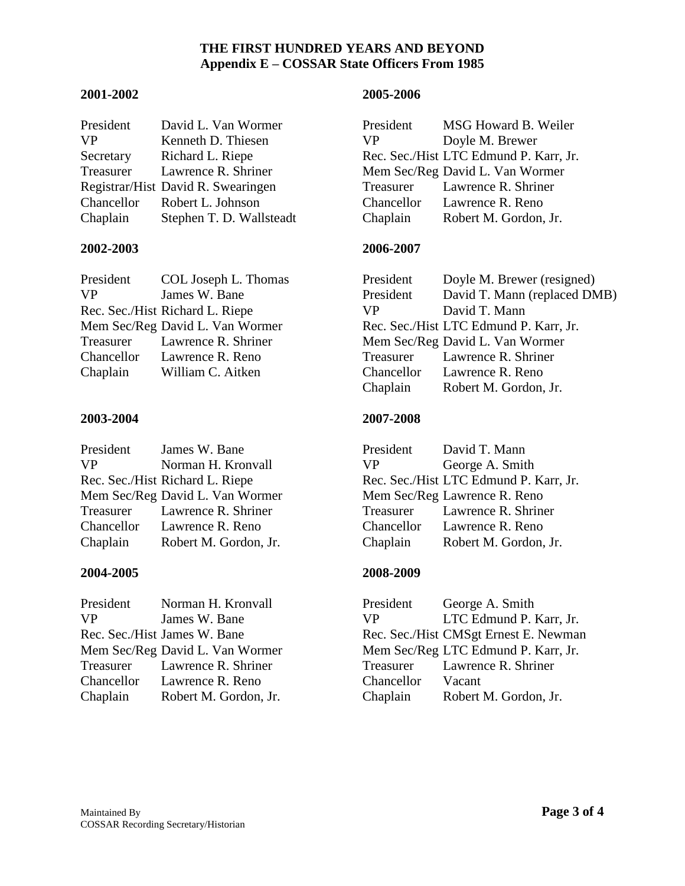## **2001-2002 2005-2006**

| President | David L. Van Wormer                | President | MSG Howard B. Weiler                   |
|-----------|------------------------------------|-----------|----------------------------------------|
| <b>VP</b> | Kenneth D. Thiesen                 | VP.       | Doyle M. Brewer                        |
| Secretary | Richard L. Riepe                   |           | Rec. Sec./Hist LTC Edmund P. Karr, Jr. |
| Treasurer | Lawrence R. Shriner                |           | Mem Sec/Reg David L. Van Wormer        |
|           | Registrar/Hist David R. Swearingen |           | Treasurer Lawrence R. Shriner          |
|           | Chancellor Robert L. Johnson       |           | Chancellor Lawrence R. Reno            |
| Chaplain  | Stephen T. D. Wallsteadt           | Chaplain  | Robert M. Gordon, Jr.                  |

## **2002-2003 2006-2007**

| President | COL Joseph L. Thomas            | President | Doyle M. Brewer (resi              |
|-----------|---------------------------------|-----------|------------------------------------|
| <b>VP</b> | James W. Bane                   | President | David T. Mann (replac              |
|           | Rec. Sec./Hist Richard L. Riepe | VP.       | David T. Mann                      |
|           | Mem Sec/Reg David L. Van Wormer |           | Rec. Sec./Hist LTC Edmund P. Karr, |
|           | Treasurer Lawrence R. Shriner   |           | Mem Sec/Reg David L. Van Wormer    |
|           | Chancellor Lawrence R. Reno     |           | Treasurer Lawrence R. Shriner      |
| Chaplain  | William C. Aitken               |           | Chancellor Lawrence R. Reno        |

## **2003-2004 2007-2008**

| President | James W. Bane                   |          | President David T. Mann            |
|-----------|---------------------------------|----------|------------------------------------|
| <b>VP</b> | Norman H. Kronvall              | VP —     | George A. Smith                    |
|           | Rec. Sec./Hist Richard L. Riepe |          | Rec. Sec./Hist LTC Edmund P. Karr, |
|           | Mem Sec/Reg David L. Van Wormer |          | Mem Sec/Reg Lawrence R. Reno       |
|           | Treasurer Lawrence R. Shriner   |          | Treasurer Lawrence R. Shriner      |
|           | Chancellor Lawrence R. Reno     |          | Chancellor Lawrence R. Reno        |
| Chaplain  | Robert M. Gordon, Jr.           | Chaplain | Robert M. Gordon, Jr.              |

| President  | Norman H. Kronvall              |
|------------|---------------------------------|
| <b>VP</b>  | James W. Bane                   |
|            | Rec. Sec./Hist James W. Bane    |
|            | Mem Sec/Reg David L. Van Wormer |
| Treasurer  | Lawrence R. Shriner             |
| Chancellor | Lawrence R. Reno                |
| Chaplain   | Robert M. Gordon, Jr.           |

| President | David L. Van Wormer                | President | MSG Howard B. Weiler                   |
|-----------|------------------------------------|-----------|----------------------------------------|
| VP        | Kenneth D. Thiesen                 | <b>VP</b> | Doyle M. Brewer                        |
| Secretary | Richard L. Riepe                   |           | Rec. Sec./Hist LTC Edmund P. Karr, Jr. |
| Treasurer | Lawrence R. Shriner                |           | Mem Sec/Reg David L. Van Wormer        |
|           | Registrar/Hist David R. Swearingen |           | Treasurer Lawrence R. Shriner          |
|           | Chancellor Robert L. Johnson       |           | Chancellor Lawrence R. Reno            |
| Chaplain  | Stephen T. D. Wallsteadt           | Chaplain  | Robert M. Gordon, Jr.                  |

| President  | COL Joseph L. Thomas            | President | Doyle M. Brewer (resigned)             |
|------------|---------------------------------|-----------|----------------------------------------|
| VP.        | James W. Bane                   | President | David T. Mann (replaced DMB)           |
|            | Rec. Sec./Hist Richard L. Riepe | VP.       | David T. Mann                          |
|            | Mem Sec/Reg David L. Van Wormer |           | Rec. Sec./Hist LTC Edmund P. Karr, Jr. |
|            | Treasurer Lawrence R. Shriner   |           | Mem Sec/Reg David L. Van Wormer        |
| Chancellor | Lawrence R. Reno                | Treasurer | Lawrence R. Shriner                    |
| Chaplain   | William C. Aitken               |           | Chancellor Lawrence R. Reno            |
|            |                                 | Chaplain  | Robert M. Gordon, Jr.                  |
|            |                                 |           |                                        |

| President | James W. Bane                   |     | President David T. Mann                |
|-----------|---------------------------------|-----|----------------------------------------|
| VP.       | Norman H. Kronvall              | VP. | George A. Smith                        |
|           | Rec. Sec./Hist Richard L. Riepe |     | Rec. Sec./Hist LTC Edmund P. Karr, Jr. |
|           | Mem Sec/Reg David L. Van Wormer |     | Mem Sec/Reg Lawrence R. Reno           |
|           | Treasurer Lawrence R. Shriner   |     | Treasurer Lawrence R. Shriner          |
|           | Chancellor Lawrence R. Reno     |     | Chancellor Lawrence R. Reno            |
| Chaplain  | Robert M. Gordon, Jr.           |     | Chaplain Robert M. Gordon, Jr.         |

# **2004-2005 2008-2009**

President George A. Smith VP LTC Edmund P. Karr, Jr. Rec. Sec./Hist CMSgt Ernest E. Newman Mem Sec/Reg LTC Edmund P. Karr, Jr.<br>Treasurer Lawrence R. Shriner Lawrence R. Shriner Chancellor Vacant Chaplain Robert M. Gordon, Jr.